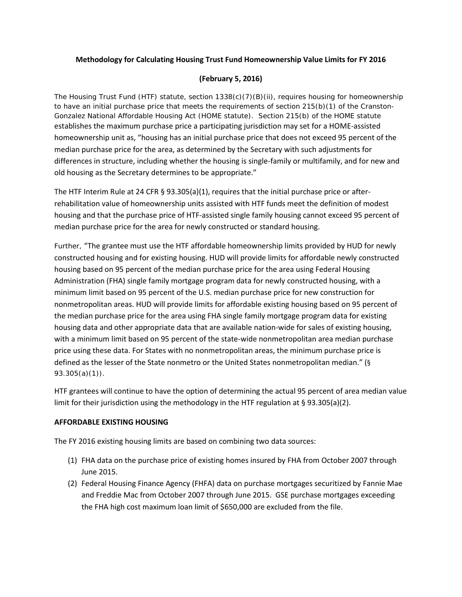## **Methodology for Calculating Housing Trust Fund Homeownership Value Limits for FY 2016**

## **(February 5, 2016)**

The Housing Trust Fund (HTF) statute, section 1338(c)(7)(B)(ii), requires housing for homeownership to have an initial purchase price that meets the requirements of section 215(b)(1) of the Cranston-Gonzalez National Affordable Housing Act (HOME statute). Section 215(b) of the HOME statute establishes the maximum purchase price a participating jurisdiction may set for a HOME-assisted homeownership unit as, "housing has an initial purchase price that does not exceed 95 percent of the median purchase price for the area, as determined by the Secretary with such adjustments for differences in structure, including whether the housing is single-family or multifamily, and for new and old housing as the Secretary determines to be appropriate."

The HTF Interim Rule at 24 CFR § 93.305(a)(1), requires that the initial purchase price or afterrehabilitation value of homeownership units assisted with HTF funds meet the definition of modest housing and that the purchase price of HTF-assisted single family housing cannot exceed 95 percent of median purchase price for the area for newly constructed or standard housing.

Further, "The grantee must use the HTF affordable homeownership limits provided by HUD for newly constructed housing and for existing housing. HUD will provide limits for affordable newly constructed housing based on 95 percent of the median purchase price for the area using Federal Housing Administration (FHA) single family mortgage program data for newly constructed housing, with a minimum limit based on 95 percent of the U.S. median purchase price for new construction for nonmetropolitan areas. HUD will provide limits for affordable existing housing based on 95 percent of the median purchase price for the area using FHA single family mortgage program data for existing housing data and other appropriate data that are available nation-wide for sales of existing housing, with a minimum limit based on 95 percent of the state-wide nonmetropolitan area median purchase price using these data. For States with no nonmetropolitan areas, the minimum purchase price is defined as the lesser of the State nonmetro or the United States nonmetropolitan median." (§ 93.305(a)(1)).

HTF grantees will continue to have the option of determining the actual 95 percent of area median value limit for their jurisdiction using the methodology in the HTF regulation at  $\S 93.305(a)(2)$ .

## **AFFORDABLE EXISTING HOUSING**

The FY 2016 existing housing limits are based on combining two data sources:

- (1) FHA data on the purchase price of existing homes insured by FHA from October 2007 through June 2015.
- (2) Federal Housing Finance Agency (FHFA) data on purchase mortgages securitized by Fannie Mae and Freddie Mac from October 2007 through June 2015. GSE purchase mortgages exceeding the FHA high cost maximum loan limit of \$650,000 are excluded from the file.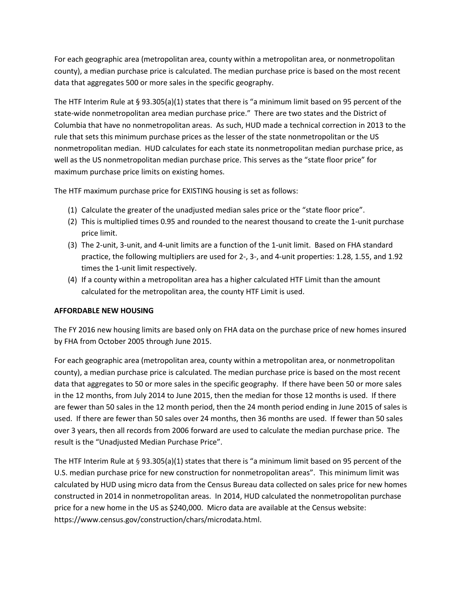For each geographic area (metropolitan area, county within a metropolitan area, or nonmetropolitan county), a median purchase price is calculated. The median purchase price is based on the most recent data that aggregates 500 or more sales in the specific geography.

The HTF Interim Rule at § 93.305(a)(1) states that there is "a minimum limit based on 95 percent of the state-wide nonmetropolitan area median purchase price." There are two states and the District of Columbia that have no nonmetropolitan areas. As such, HUD made a technical correction in 2013 to the rule that sets this minimum purchase prices as the lesser of the state nonmetropolitan or the US nonmetropolitan median. HUD calculates for each state its nonmetropolitan median purchase price, as well as the US nonmetropolitan median purchase price. This serves as the "state floor price" for maximum purchase price limits on existing homes.

The HTF maximum purchase price for EXISTING housing is set as follows:

- (1) Calculate the greater of the unadjusted median sales price or the "state floor price".
- (2) This is multiplied times 0.95 and rounded to the nearest thousand to create the 1-unit purchase price limit.
- (3) The 2-unit, 3-unit, and 4-unit limits are a function of the 1-unit limit. Based on FHA standard practice, the following multipliers are used for 2-, 3-, and 4-unit properties: 1.28, 1.55, and 1.92 times the 1-unit limit respectively.
- (4) If a county within a metropolitan area has a higher calculated HTF Limit than the amount calculated for the metropolitan area, the county HTF Limit is used.

## **AFFORDABLE NEW HOUSING**

The FY 2016 new housing limits are based only on FHA data on the purchase price of new homes insured by FHA from October 2005 through June 2015.

For each geographic area (metropolitan area, county within a metropolitan area, or nonmetropolitan county), a median purchase price is calculated. The median purchase price is based on the most recent data that aggregates to 50 or more sales in the specific geography. If there have been 50 or more sales in the 12 months, from July 2014 to June 2015, then the median for those 12 months is used. If there are fewer than 50 sales in the 12 month period, then the 24 month period ending in June 2015 of sales is used. If there are fewer than 50 sales over 24 months, then 36 months are used. If fewer than 50 sales over 3 years, then all records from 2006 forward are used to calculate the median purchase price. The result is the "Unadjusted Median Purchase Price".

The HTF Interim Rule at § 93.305(a)(1) states that there is "a minimum limit based on 95 percent of the U.S. median purchase price for new construction for nonmetropolitan areas". This minimum limit was calculated by HUD using micro data from the Census Bureau data collected on sales price for new homes constructed in 2014 in nonmetropolitan areas. In 2014, HUD calculated the nonmetropolitan purchase price for a new home in the US as \$240,000. Micro data are available at the Census website: https://www.census.gov/construction/chars/microdata.html.